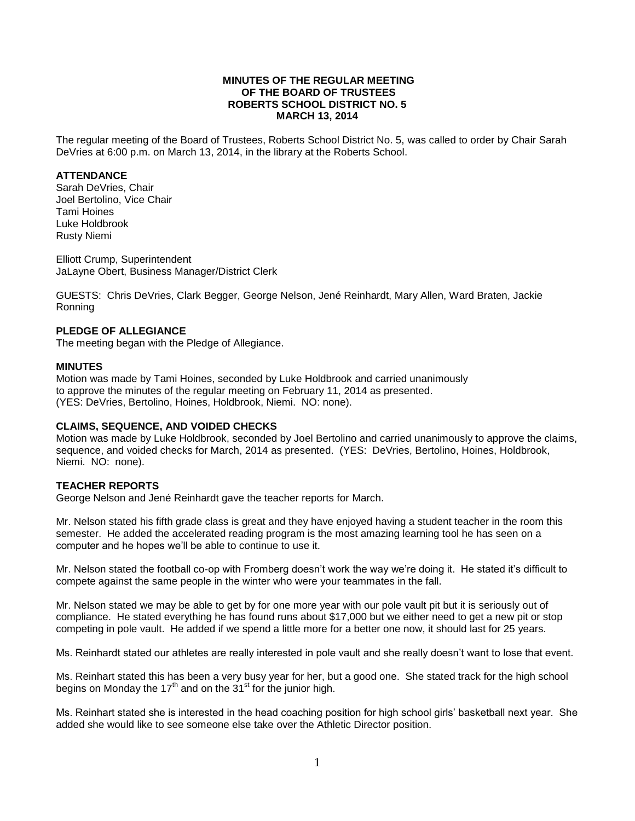### **MINUTES OF THE REGULAR MEETING OF THE BOARD OF TRUSTEES ROBERTS SCHOOL DISTRICT NO. 5 MARCH 13, 2014**

The regular meeting of the Board of Trustees, Roberts School District No. 5, was called to order by Chair Sarah DeVries at 6:00 p.m. on March 13, 2014, in the library at the Roberts School.

## **ATTENDANCE**

Sarah DeVries, Chair Joel Bertolino, Vice Chair Tami Hoines Luke Holdbrook Rusty Niemi

Elliott Crump, Superintendent JaLayne Obert, Business Manager/District Clerk

GUESTS: Chris DeVries, Clark Begger, George Nelson, Jené Reinhardt, Mary Allen, Ward Braten, Jackie Ronning

## **PLEDGE OF ALLEGIANCE**

The meeting began with the Pledge of Allegiance.

#### **MINUTES**

Motion was made by Tami Hoines, seconded by Luke Holdbrook and carried unanimously to approve the minutes of the regular meeting on February 11, 2014 as presented. (YES: DeVries, Bertolino, Hoines, Holdbrook, Niemi. NO: none).

## **CLAIMS, SEQUENCE, AND VOIDED CHECKS**

Motion was made by Luke Holdbrook, seconded by Joel Bertolino and carried unanimously to approve the claims, sequence, and voided checks for March, 2014 as presented. (YES: DeVries, Bertolino, Hoines, Holdbrook, Niemi. NO: none).

## **TEACHER REPORTS**

George Nelson and Jené Reinhardt gave the teacher reports for March.

Mr. Nelson stated his fifth grade class is great and they have enjoyed having a student teacher in the room this semester. He added the accelerated reading program is the most amazing learning tool he has seen on a computer and he hopes we'll be able to continue to use it.

Mr. Nelson stated the football co-op with Fromberg doesn't work the way we're doing it. He stated it's difficult to compete against the same people in the winter who were your teammates in the fall.

Mr. Nelson stated we may be able to get by for one more year with our pole vault pit but it is seriously out of compliance. He stated everything he has found runs about \$17,000 but we either need to get a new pit or stop competing in pole vault. He added if we spend a little more for a better one now, it should last for 25 years.

Ms. Reinhardt stated our athletes are really interested in pole vault and she really doesn't want to lose that event.

Ms. Reinhart stated this has been a very busy year for her, but a good one. She stated track for the high school begins on Monday the  $17<sup>th</sup>$  and on the  $31<sup>st</sup>$  for the junior high.

Ms. Reinhart stated she is interested in the head coaching position for high school girls' basketball next year. She added she would like to see someone else take over the Athletic Director position.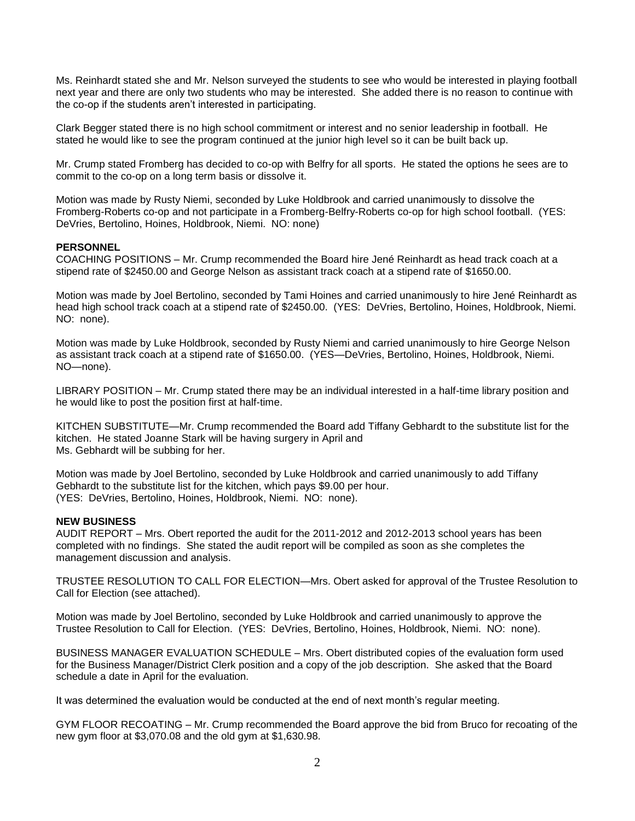Ms. Reinhardt stated she and Mr. Nelson surveyed the students to see who would be interested in playing football next year and there are only two students who may be interested. She added there is no reason to continue with the co-op if the students aren't interested in participating.

Clark Begger stated there is no high school commitment or interest and no senior leadership in football. He stated he would like to see the program continued at the junior high level so it can be built back up.

Mr. Crump stated Fromberg has decided to co-op with Belfry for all sports. He stated the options he sees are to commit to the co-op on a long term basis or dissolve it.

Motion was made by Rusty Niemi, seconded by Luke Holdbrook and carried unanimously to dissolve the Fromberg-Roberts co-op and not participate in a Fromberg-Belfry-Roberts co-op for high school football. (YES: DeVries, Bertolino, Hoines, Holdbrook, Niemi. NO: none)

## **PERSONNEL**

COACHING POSITIONS – Mr. Crump recommended the Board hire Jené Reinhardt as head track coach at a stipend rate of \$2450.00 and George Nelson as assistant track coach at a stipend rate of \$1650.00.

Motion was made by Joel Bertolino, seconded by Tami Hoines and carried unanimously to hire Jené Reinhardt as head high school track coach at a stipend rate of \$2450.00. (YES: DeVries, Bertolino, Hoines, Holdbrook, Niemi. NO: none).

Motion was made by Luke Holdbrook, seconded by Rusty Niemi and carried unanimously to hire George Nelson as assistant track coach at a stipend rate of \$1650.00. (YES—DeVries, Bertolino, Hoines, Holdbrook, Niemi. NO—none).

LIBRARY POSITION – Mr. Crump stated there may be an individual interested in a half-time library position and he would like to post the position first at half-time.

KITCHEN SUBSTITUTE—Mr. Crump recommended the Board add Tiffany Gebhardt to the substitute list for the kitchen. He stated Joanne Stark will be having surgery in April and Ms. Gebhardt will be subbing for her.

Motion was made by Joel Bertolino, seconded by Luke Holdbrook and carried unanimously to add Tiffany Gebhardt to the substitute list for the kitchen, which pays \$9.00 per hour. (YES: DeVries, Bertolino, Hoines, Holdbrook, Niemi. NO: none).

#### **NEW BUSINESS**

AUDIT REPORT – Mrs. Obert reported the audit for the 2011-2012 and 2012-2013 school years has been completed with no findings. She stated the audit report will be compiled as soon as she completes the management discussion and analysis.

TRUSTEE RESOLUTION TO CALL FOR ELECTION—Mrs. Obert asked for approval of the Trustee Resolution to Call for Election (see attached).

Motion was made by Joel Bertolino, seconded by Luke Holdbrook and carried unanimously to approve the Trustee Resolution to Call for Election. (YES: DeVries, Bertolino, Hoines, Holdbrook, Niemi. NO: none).

BUSINESS MANAGER EVALUATION SCHEDULE – Mrs. Obert distributed copies of the evaluation form used for the Business Manager/District Clerk position and a copy of the job description. She asked that the Board schedule a date in April for the evaluation.

It was determined the evaluation would be conducted at the end of next month's regular meeting.

GYM FLOOR RECOATING – Mr. Crump recommended the Board approve the bid from Bruco for recoating of the new gym floor at \$3,070.08 and the old gym at \$1,630.98.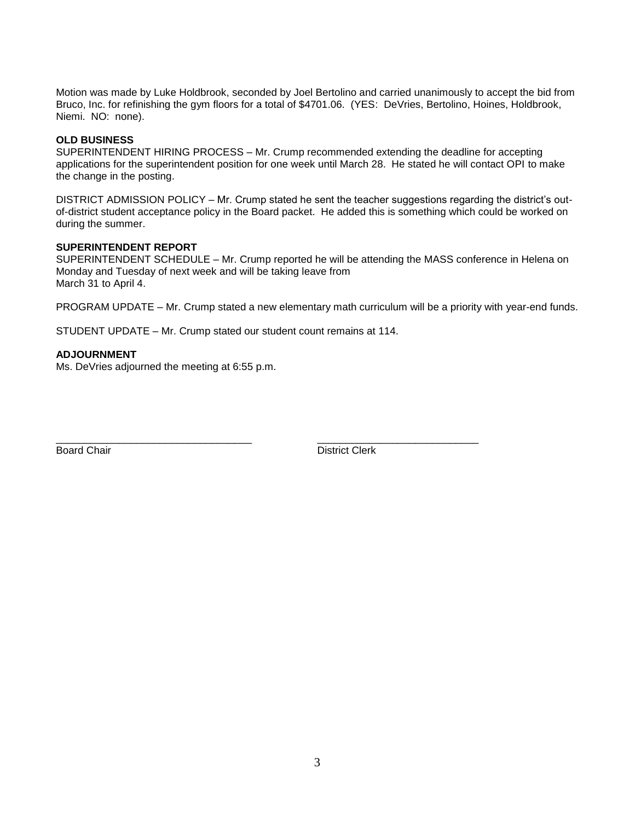Motion was made by Luke Holdbrook, seconded by Joel Bertolino and carried unanimously to accept the bid from Bruco, Inc. for refinishing the gym floors for a total of \$4701.06. (YES: DeVries, Bertolino, Hoines, Holdbrook, Niemi. NO: none).

## **OLD BUSINESS**

SUPERINTENDENT HIRING PROCESS – Mr. Crump recommended extending the deadline for accepting applications for the superintendent position for one week until March 28. He stated he will contact OPI to make the change in the posting.

DISTRICT ADMISSION POLICY – Mr. Crump stated he sent the teacher suggestions regarding the district's outof-district student acceptance policy in the Board packet. He added this is something which could be worked on during the summer.

### **SUPERINTENDENT REPORT**

SUPERINTENDENT SCHEDULE – Mr. Crump reported he will be attending the MASS conference in Helena on Monday and Tuesday of next week and will be taking leave from March 31 to April 4.

PROGRAM UPDATE – Mr. Crump stated a new elementary math curriculum will be a priority with year-end funds.

STUDENT UPDATE – Mr. Crump stated our student count remains at 114.

\_\_\_\_\_\_\_\_\_\_\_\_\_\_\_\_\_\_\_\_\_\_\_\_\_\_\_\_\_\_\_\_\_\_ \_\_\_\_\_\_\_\_\_\_\_\_\_\_\_\_\_\_\_\_\_\_\_\_\_\_\_\_

#### **ADJOURNMENT**

Ms. DeVries adjourned the meeting at 6:55 p.m.

Board Chair **District Clerk**